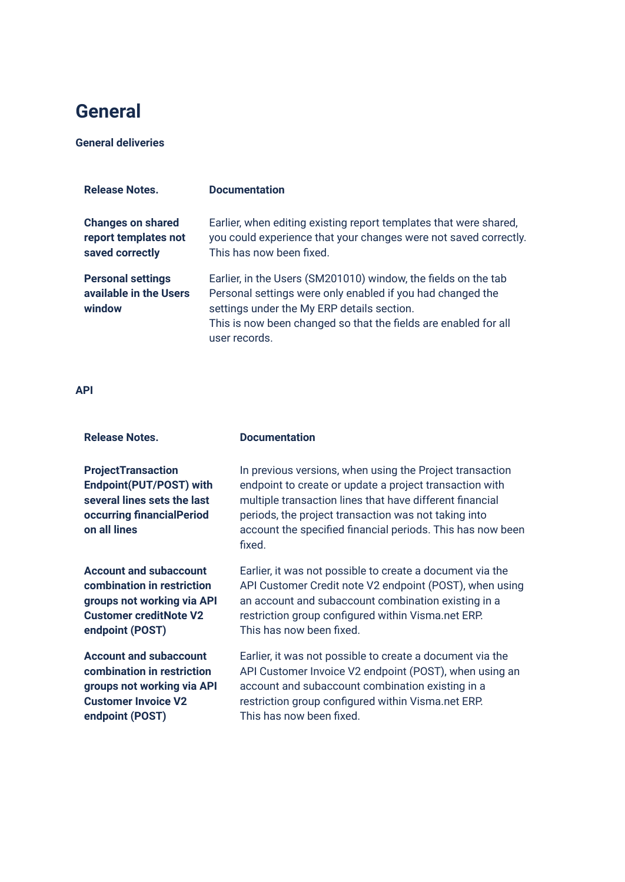### **General**

#### **General deliveries**

| <b>Release Notes.</b>                                               | <b>Documentation</b>                                                                                                                                                                                                                                           |
|---------------------------------------------------------------------|----------------------------------------------------------------------------------------------------------------------------------------------------------------------------------------------------------------------------------------------------------------|
| <b>Changes on shared</b><br>report templates not<br>saved correctly | Earlier, when editing existing report templates that were shared,<br>you could experience that your changes were not saved correctly.<br>This has now been fixed.                                                                                              |
| <b>Personal settings</b><br>available in the Users<br>window        | Earlier, in the Users (SM201010) window, the fields on the tab<br>Personal settings were only enabled if you had changed the<br>settings under the My ERP details section.<br>This is now been changed so that the fields are enabled for all<br>user records. |

#### **API**

| <b>Release Notes.</b>                                                                                                            | <b>Documentation</b>                                                                                                                                                                                                                                                                                            |
|----------------------------------------------------------------------------------------------------------------------------------|-----------------------------------------------------------------------------------------------------------------------------------------------------------------------------------------------------------------------------------------------------------------------------------------------------------------|
| <b>ProjectTransaction</b><br>Endpoint(PUT/POST) with<br>several lines sets the last<br>occurring financialPeriod<br>on all lines | In previous versions, when using the Project transaction<br>endpoint to create or update a project transaction with<br>multiple transaction lines that have different financial<br>periods, the project transaction was not taking into<br>account the specified financial periods. This has now been<br>fixed. |
| <b>Account and subaccount</b>                                                                                                    | Earlier, it was not possible to create a document via the                                                                                                                                                                                                                                                       |
| combination in restriction                                                                                                       | API Customer Credit note V2 endpoint (POST), when using                                                                                                                                                                                                                                                         |
| groups not working via API                                                                                                       | an account and subaccount combination existing in a                                                                                                                                                                                                                                                             |
| <b>Customer creditNote V2</b>                                                                                                    | restriction group configured within Visma.net ERP.                                                                                                                                                                                                                                                              |
| endpoint (POST)                                                                                                                  | This has now been fixed.                                                                                                                                                                                                                                                                                        |
| <b>Account and subaccount</b>                                                                                                    | Earlier, it was not possible to create a document via the                                                                                                                                                                                                                                                       |
| combination in restriction                                                                                                       | API Customer Invoice V2 endpoint (POST), when using an                                                                                                                                                                                                                                                          |
| groups not working via API                                                                                                       | account and subaccount combination existing in a                                                                                                                                                                                                                                                                |
| <b>Customer Invoice V2</b>                                                                                                       | restriction group configured within Visma.net ERP.                                                                                                                                                                                                                                                              |
| endpoint (POST)                                                                                                                  | This has now been fixed.                                                                                                                                                                                                                                                                                        |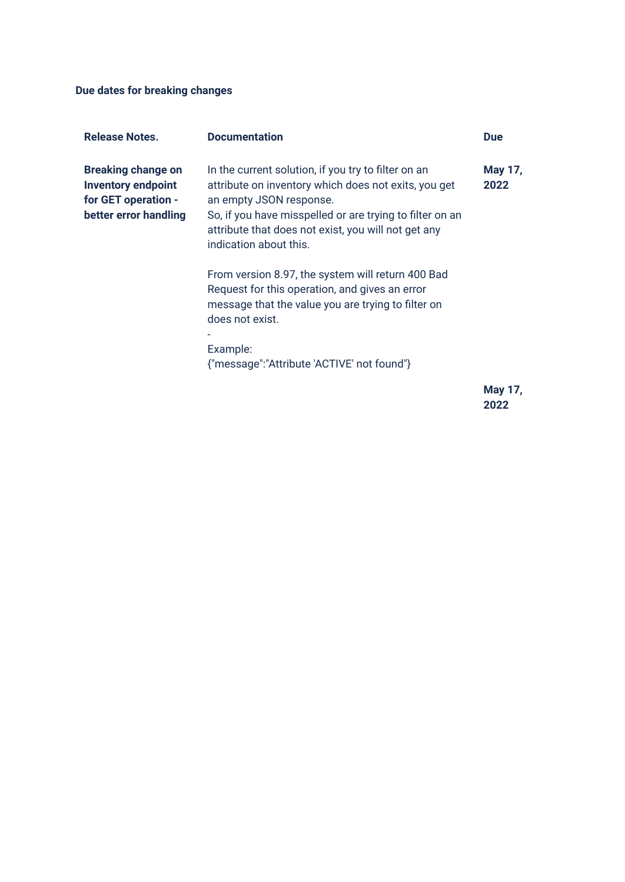**Due dates for breaking changes**

| <b>Release Notes.</b>                                                                                  | <b>Documentation</b>                                                                                                                                                                                                                                                                | <b>Due</b> |         |
|--------------------------------------------------------------------------------------------------------|-------------------------------------------------------------------------------------------------------------------------------------------------------------------------------------------------------------------------------------------------------------------------------------|------------|---------|
| <b>Breaking change on</b><br><b>Inventory endpoint</b><br>for GET operation -<br>better error handling | In the current solution, if you try to filter on an<br>attribute on inventory which does not exits, you get<br>an empty JSON response.<br>So, if you have misspelled or are trying to filter on an<br>attribute that does not exist, you will not get any<br>indication about this. | 2022       | May 17, |
|                                                                                                        | From version 8.97, the system will return 400 Bad<br>Request for this operation, and gives an error<br>message that the value you are trying to filter on<br>does not exist.<br>Example:<br>{"message":"Attribute 'ACTIVE' not found"}                                              |            |         |
|                                                                                                        |                                                                                                                                                                                                                                                                                     |            |         |

**May 17, 2022**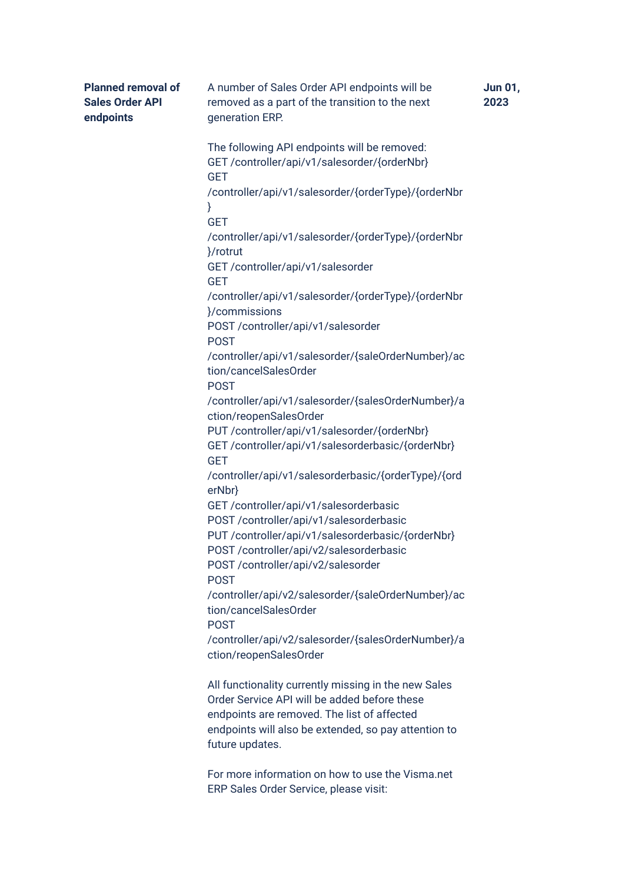| <b>Planned removal of</b><br><b>Sales Order API</b><br>endpoints | A number of Sales Order API endpoints will be<br>removed as a part of the transition to the next<br>generation ERP.                                                                                                            | Jun 01,<br>2023 |
|------------------------------------------------------------------|--------------------------------------------------------------------------------------------------------------------------------------------------------------------------------------------------------------------------------|-----------------|
|                                                                  | The following API endpoints will be removed:<br>GET /controller/api/v1/salesorder/{orderNbr}<br><b>GET</b>                                                                                                                     |                 |
|                                                                  | /controller/api/v1/salesorder/{orderType}/{orderNbr<br>}                                                                                                                                                                       |                 |
|                                                                  | <b>GET</b><br>/controller/api/v1/salesorder/{orderType}/{orderNbr<br>}/rotrut                                                                                                                                                  |                 |
|                                                                  | GET /controller/api/v1/salesorder<br><b>GET</b>                                                                                                                                                                                |                 |
|                                                                  | /controller/api/v1/salesorder/{orderType}/{orderNbr<br>}/commissions                                                                                                                                                           |                 |
|                                                                  | POST /controller/api/v1/salesorder<br><b>POST</b>                                                                                                                                                                              |                 |
|                                                                  | /controller/api/v1/salesorder/{saleOrderNumber}/ac<br>tion/cancelSalesOrder<br><b>POST</b>                                                                                                                                     |                 |
|                                                                  | /controller/api/v1/salesorder/{salesOrderNumber}/a<br>ction/reopenSalesOrder                                                                                                                                                   |                 |
|                                                                  | PUT /controller/api/v1/salesorder/{orderNbr}<br>GET /controller/api/v1/salesorderbasic/{orderNbr}<br><b>GET</b>                                                                                                                |                 |
|                                                                  | /controller/api/v1/salesorderbasic/{orderType}/{ord<br>erNbr}                                                                                                                                                                  |                 |
|                                                                  | GET /controller/api/v1/salesorderbasic<br>POST /controller/api/v1/salesorderbasic                                                                                                                                              |                 |
|                                                                  | PUT /controller/api/v1/salesorderbasic/{orderNbr}<br>POST/controller/api/v2/salesorderbasic<br>POST /controller/api/v2/salesorder                                                                                              |                 |
|                                                                  | <b>POST</b><br>/controller/api/v2/salesorder/{saleOrderNumber}/ac<br>tion/cancelSalesOrder                                                                                                                                     |                 |
|                                                                  | <b>POST</b><br>/controller/api/v2/salesorder/{salesOrderNumber}/a<br>ction/reopenSalesOrder                                                                                                                                    |                 |
|                                                                  | All functionality currently missing in the new Sales<br>Order Service API will be added before these<br>endpoints are removed. The list of affected<br>endpoints will also be extended, so pay attention to<br>future updates. |                 |

For more information on how to use the Visma.net ERP Sales Order Service, please visit: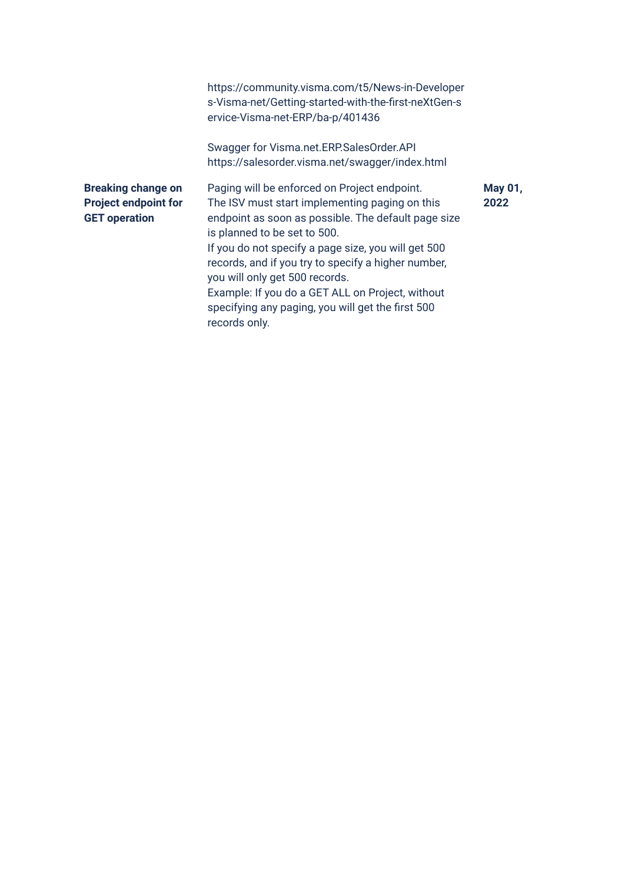|                                                                                  | https://community.visma.com/t5/News-in-Developer<br>s-Visma-net/Getting-started-with-the-first-neXtGen-s<br>ervice-Visma-net-ERP/ba-p/401436                                                                                                                                                                                                                                                                                                                    |                        |
|----------------------------------------------------------------------------------|-----------------------------------------------------------------------------------------------------------------------------------------------------------------------------------------------------------------------------------------------------------------------------------------------------------------------------------------------------------------------------------------------------------------------------------------------------------------|------------------------|
|                                                                                  | Swagger for Visma.net.ERP.SalesOrder.API<br>https://salesorder.visma.net/swagger/index.html                                                                                                                                                                                                                                                                                                                                                                     |                        |
| <b>Breaking change on</b><br><b>Project endpoint for</b><br><b>GET</b> operation | Paging will be enforced on Project endpoint.<br>The ISV must start implementing paging on this<br>endpoint as soon as possible. The default page size<br>is planned to be set to 500.<br>If you do not specify a page size, you will get 500<br>records, and if you try to specify a higher number,<br>you will only get 500 records.<br>Example: If you do a GET ALL on Project, without<br>specifying any paging, you will get the first 500<br>records only. | <b>May 01,</b><br>2022 |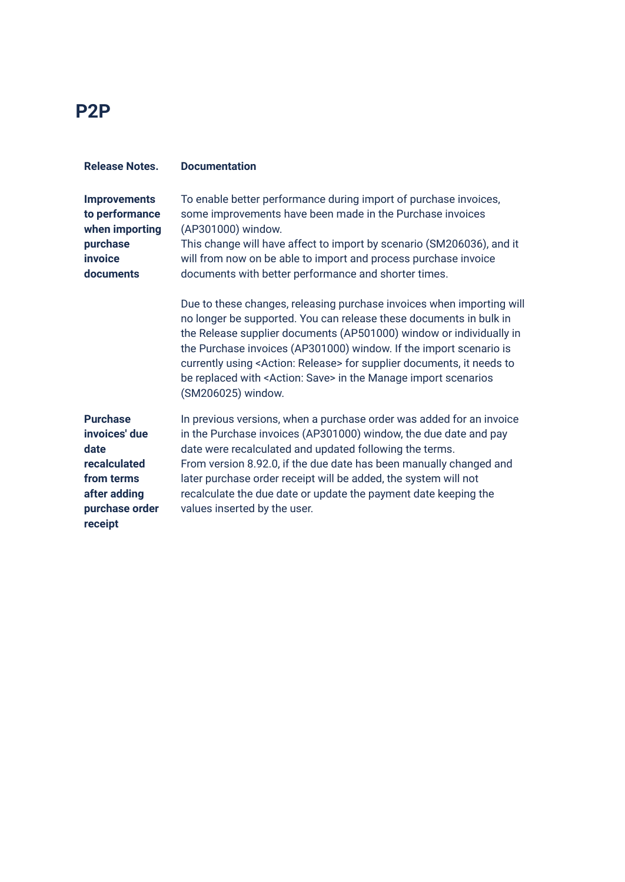### **P2P**

| <b>Release Notes.</b>                                                                                               | <b>Documentation</b>                                                                                                                                                                                                                                                                                                                                                                                                                                                                  |
|---------------------------------------------------------------------------------------------------------------------|---------------------------------------------------------------------------------------------------------------------------------------------------------------------------------------------------------------------------------------------------------------------------------------------------------------------------------------------------------------------------------------------------------------------------------------------------------------------------------------|
| <b>Improvements</b><br>to performance<br>when importing<br>purchase<br>invoice<br>documents                         | To enable better performance during import of purchase invoices,<br>some improvements have been made in the Purchase invoices<br>(AP301000) window.<br>This change will have affect to import by scenario (SM206036), and it<br>will from now on be able to import and process purchase invoice<br>documents with better performance and shorter times.                                                                                                                               |
|                                                                                                                     | Due to these changes, releasing purchase invoices when importing will<br>no longer be supported. You can release these documents in bulk in<br>the Release supplier documents (AP501000) window or individually in<br>the Purchase invoices (AP301000) window. If the import scenario is<br>currently using <action: release=""> for supplier documents, it needs to<br/>be replaced with <action: save=""> in the Manage import scenarios<br/>(SM206025) window.</action:></action:> |
| <b>Purchase</b><br>invoices' due<br>date<br>recalculated<br>from terms<br>after adding<br>purchase order<br>receipt | In previous versions, when a purchase order was added for an invoice<br>in the Purchase invoices (AP301000) window, the due date and pay<br>date were recalculated and updated following the terms.<br>From version 8.92.0, if the due date has been manually changed and<br>later purchase order receipt will be added, the system will not<br>recalculate the due date or update the payment date keeping the<br>values inserted by the user.                                       |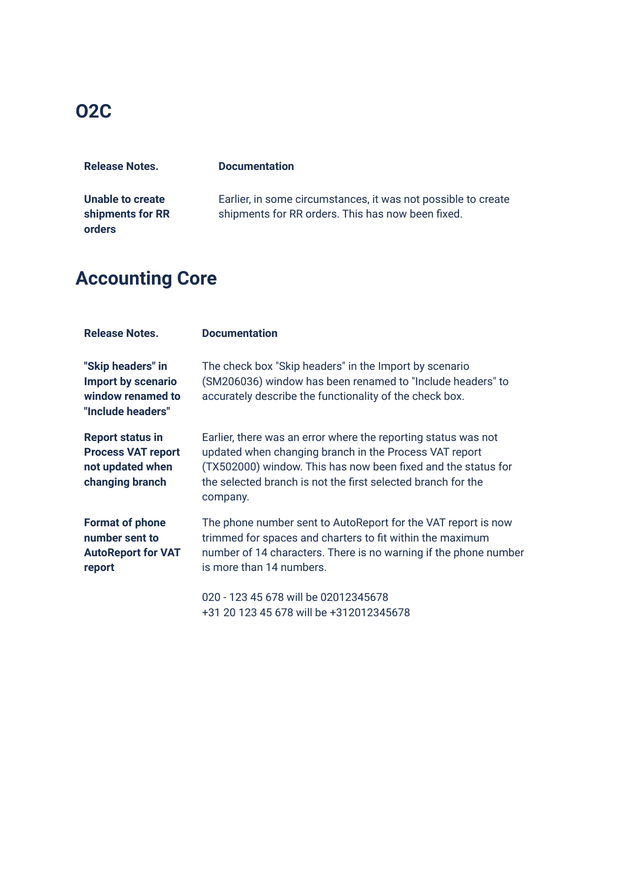### **O2C**

| <b>Release Notes.</b> | <b>Documentation</b>                                          |
|-----------------------|---------------------------------------------------------------|
|                       |                                                               |
| Unable to create      | Earlier, in some circumstances, it was not possible to create |
| shipments for RR      | shipments for RR orders. This has now been fixed.             |
| orders                |                                                               |

## **Accounting Core**

| <b>Release Notes.</b>                                                                       | <b>Documentation</b>                                                                                                                                                                                                                                                  |
|---------------------------------------------------------------------------------------------|-----------------------------------------------------------------------------------------------------------------------------------------------------------------------------------------------------------------------------------------------------------------------|
| "Skip headers" in<br>Import by scenario<br>window renamed to<br>"Include headers"           | The check box "Skip headers" in the Import by scenario<br>(SM206036) window has been renamed to "Include headers" to<br>accurately describe the functionality of the check box.                                                                                       |
| <b>Report status in</b><br><b>Process VAT report</b><br>not updated when<br>changing branch | Earlier, there was an error where the reporting status was not<br>updated when changing branch in the Process VAT report<br>(TX502000) window. This has now been fixed and the status for<br>the selected branch is not the first selected branch for the<br>company. |
| <b>Format of phone</b><br>number sent to<br><b>AutoReport for VAT</b><br>report             | The phone number sent to AutoReport for the VAT report is now<br>trimmed for spaces and charters to fit within the maximum<br>number of 14 characters. There is no warning if the phone number<br>is more than 14 numbers.                                            |
|                                                                                             | 020 - 123 45 678 will be 02012345678<br>+31 20 123 45 678 will be +312012345678                                                                                                                                                                                       |